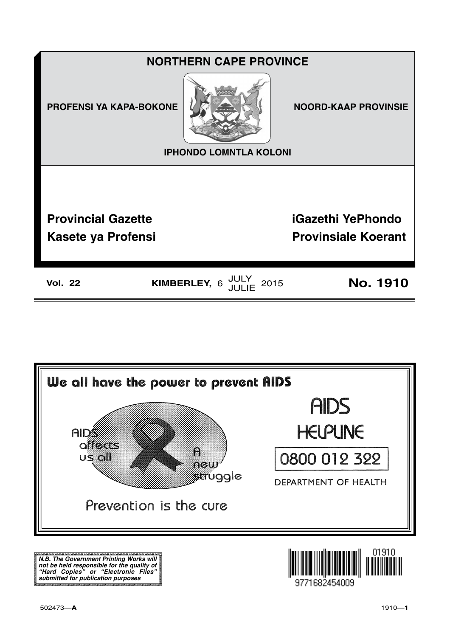



**N.B. The Government Printing Works will not be held responsible for the quality of "Hard Copies" or "Electronic Files" submitted for publication purposes**

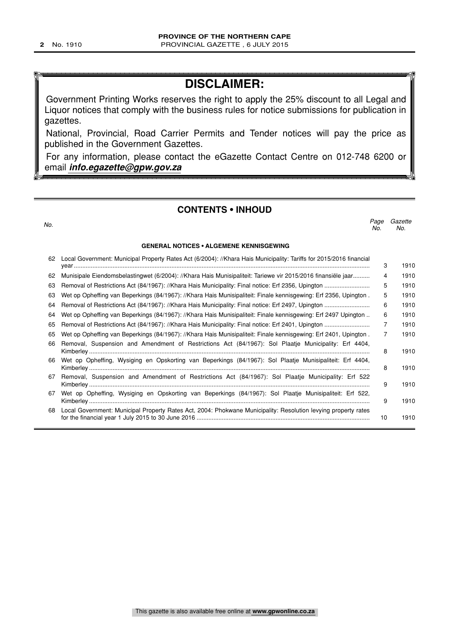### **DISCLAIMER:**

Government Printing Works reserves the right to apply the 25% discount to all Legal and Liquor notices that comply with the business rules for notice submissions for publication in gazettes.

National, Provincial, Road Carrier Permits and Tender notices will pay the price as published in the Government Gazettes.

For any information, please contact the eGazette Contact Centre on 012-748 6200 or email **info.egazette@gpw.gov.za**

#### **CONTENTS • INHOUD**

| No.      |                                                                                                                                                                                                                          | Page<br>No. | Gazette<br>No. |
|----------|--------------------------------------------------------------------------------------------------------------------------------------------------------------------------------------------------------------------------|-------------|----------------|
|          | <b>GENERAL NOTICES • ALGEMENE KENNISGEWING</b>                                                                                                                                                                           |             |                |
| 62       | Local Government: Municipal Property Rates Act (6/2004): //Khara Hais Municipality: Tariffs for 2015/2016 financial                                                                                                      | 3           | 1910           |
| 62       | Munisipale Eiendomsbelastingwet (6/2004): //Khara Hais Munisipaliteit: Tariewe vir 2015/2016 finansiële jaar                                                                                                             | 4           | 1910           |
| 63       |                                                                                                                                                                                                                          | 5           | 1910           |
| 63       | Wet op Opheffing van Beperkings (84/1967): //Khara Hais Munisipaliteit: Finale kennisgewing: Erf 2356, Upington.                                                                                                         | 5           | 1910           |
| 64       |                                                                                                                                                                                                                          | 6           | 1910           |
| 64       | Wet op Opheffing van Beperkings (84/1967): //Khara Hais Munisipaliteit: Finale kennisgewing: Erf 2497 Upington                                                                                                           | 6           | 1910           |
| 65       |                                                                                                                                                                                                                          | 7           | 1910           |
| 65<br>66 | Wet op Opheffing van Beperkings (84/1967): //Khara Hais Munisipaliteit: Finale kennisgewing: Erf 2401, Upington.<br>Removal, Suspension and Amendment of Restrictions Act (84/1967): Sol Plaatje Municipality: Erf 4404, | 7           | 1910           |
|          |                                                                                                                                                                                                                          | 8           | 1910           |
| 66       | Wet op Opheffing, Wysiging en Opskorting van Beperkings (84/1967): Sol Plaatje Munisipaliteit: Erf 4404,                                                                                                                 | 8           | 1910           |
| 67       | Removal, Suspension and Amendment of Restrictions Act (84/1967): Sol Plaatje Municipality: Erf 522                                                                                                                       | 9           | 1910           |
| 67       | Wet op Opheffing, Wysiging en Opskorting van Beperkings (84/1967): Sol Plaatje Munisipaliteit: Erf 522,                                                                                                                  | 9           | 1910           |
| 68       | Local Government: Municipal Property Rates Act, 2004: Phokwane Municipality: Resolution levying property rates                                                                                                           | 10          | 1910           |
|          |                                                                                                                                                                                                                          |             |                |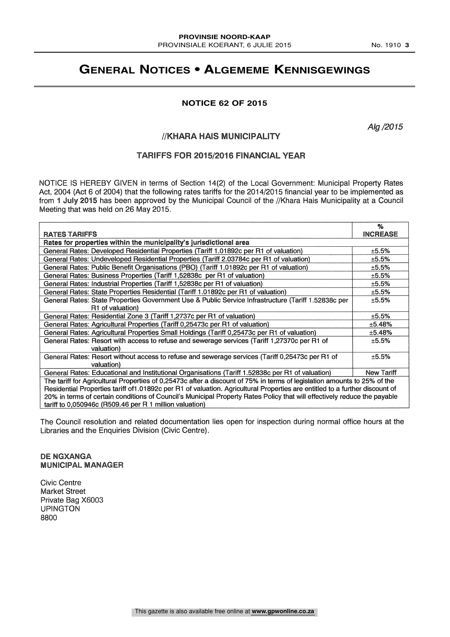### **GENERAL NOTICES • ALGEMEME KENNISGEWINGS**

#### **NOTICE 62 OF 2015**

Alg /2015

#### / /KHARA HAIS MUNICIPALITY

#### TARIFFS FOR 2015/2016 FINANCIAL YEAR

NOTICE IS HEREBY GIVEN in terms of Section 14(2) of the Local Government: Municipal Property Rates Act, 2004 (Act 6 of 2004) that the following rates tariffs for the 2014/2015 financial year to be implemented as from 1 July 2015 has been approved by the Municipal Council of the / /Khara Hais Municipality at a Council Meeting that was held on 26 May 2015.

|                                                                                                                              | %               |
|------------------------------------------------------------------------------------------------------------------------------|-----------------|
| <b>RATES TARIFFS</b>                                                                                                         | <b>INCREASE</b> |
| Rates for properties within the municipality's jurisdictional area                                                           |                 |
| General Rates: Developed Residential Properties (Tariff 1.01892c per R1 of valuation)                                        | ±5.5%           |
| General Rates: Undeveloped Residential Properties (Tariff 2.03784c per R1 of valuation)                                      | ±5.5%           |
| General Rates: Public Benefit Organisations (PBO) (Tariff 1.01892c per R1 of valuation)                                      | ±5.5%           |
| General Rates: Business Properties (Tariff 1,52838c per R1 of valuation)                                                     | ±5.5%           |
| General Rates: Industrial Properties (Tariff 1,52838c per R1 of valuation)                                                   | ±5.5%           |
| General Rates: State Properties Residential (Tariff 1.01892c per R1 of valuation)                                            | ±5.5%           |
| General Rates: State Properties Government Use & Public Service Infrastructure (Tariff 1.52838c per                          | ±5.5%           |
| R1 of valuation)                                                                                                             |                 |
| General Rates: Residential Zone 3 (Tariff 1,2737c per R1 of valuation)                                                       | ±5.5%           |
| General Rates: Agricultural Properties (Tariff 0,25473c per R1 of valuation)                                                 | ±5.48%          |
| General Rates: Agricultural Properties Small Holdings (Tariff 0,25473c per R1 of valuation)                                  | ±5.48%          |
| General Rates: Resort with access to refuse and sewerage services (Tariff 1,27370c per R1 of                                 | ±5.5%           |
| valuation)                                                                                                                   |                 |
| General Rates: Resort without access to refuse and sewerage services (Tariff 0,25473c per R1 of                              | ±5.5%           |
| valuation)                                                                                                                   |                 |
| General Rates: Educational and Institutional Organisations (Tariff 1.52838c per R1 of valuation)                             | New Tariff      |
| The tariff for Agricultural Properties of 0,25473c after a discount of 75% in terms of legislation amounts to 25% of the     |                 |
| Residential Properties tariff of 1.01892c per R1 of valuation. Agricultural Properties are entitled to a further discount of |                 |
| 20% in terms of certain conditions of Council's Municipal Property Rates Policy that will effectively reduce the payable     |                 |
| tariff to $0,050946c$ (R509.46 per R 1 million valuation)                                                                    |                 |

The Council resolution and related documentation lies open for inspection during normal office hours at the Libraries and the Enquiries Division (Civic Centre).

DE NGXANGA MUNICIPAL MANAGER

Civic Centre Market Street Private Bag X6003 **UPINGTON** 8800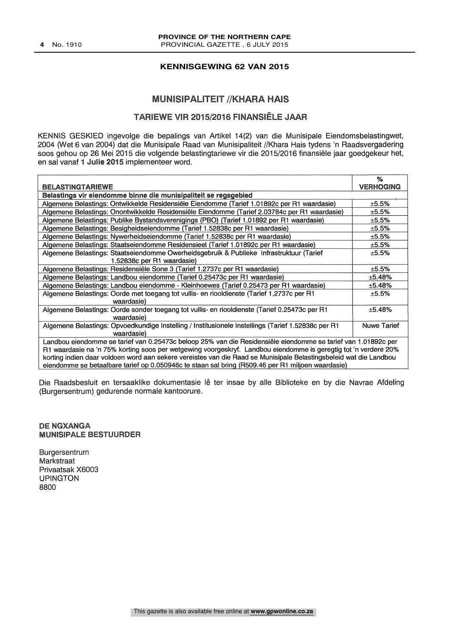#### **KENNISGEWING 62 VAN 2015**

#### MUNISIPALITEIT //KHARA HAIS

#### TARIEWE VIR 2015/2016 FINANSIËLE JAAR

KENNIS GESKIED ingevolge die bepalings van Artikel 14(2) van die Munisipale Eiendomsbelastingwet, 2904 (Wet 6 van 2004) dat die Munisipale Raad van Munisipaliteit / /Khara Hais tydens 'n Raadsvergadering soos gehou op 26 Mei 2015 die volgende belastingtariewe vir die 2015/2016 finansiële jaar goedgekeur het, en sal vanaf 1 Julie 2015 implementeer word.

| <b>BELASTINGTARIEWE</b>                                                                                           | %                  |  |
|-------------------------------------------------------------------------------------------------------------------|--------------------|--|
|                                                                                                                   | <b>VERHOGING</b>   |  |
| Belastings vir eiendomme binne die munisipaliteit se regsgebied                                                   |                    |  |
| Algemene Belastings: Ontwikkelde Residensiële Eiendomme (Tarief 1.01892c per R1 waardasie)                        | ±5.5%              |  |
| Algemene Belastings: Onontwikkelde Residensiële Eiendomme (Tarief 2.03784c per R1 waardasie)                      | ±5.5%              |  |
| Algemene Belastings: Publike Bystandsverenigings (PBO) (Tarief 1.01892 per R1 waardasie)                          | ±5.5%              |  |
| Algemene Belastings: Besigheidseiendomme (Tarief 1.52838c per R1 waardasie)                                       | ±5.5%              |  |
| Algemene Belastings: Nywerheidseiendomme (Tarief 1.52838c per R1 waardasie)                                       | ±5.5%              |  |
| Algemene Belastings: Staatseiendomme Residensieel (Tarief 1.01892c per R1 waardasie)                              | ±5.5%              |  |
| Algemene Belastings: Staatseiendomme Owerheidsgebruik & Publieke Infrastruktuur (Tarief                           | ±5.5%              |  |
| 1.52838c per R1 waardasie)                                                                                        |                    |  |
| Algemene Belastings: Residensiële Sone 3 (Tarief 1.2737c per R1 waardasie)                                        | ±5.5%              |  |
| Algemene Belastings: Landbou eiendomme (Tarief 0.25473c per R1 waardasie)                                         | ±5.48%             |  |
| Algemene Belastings: Landbou eiendomme - Kleinhoewes (Tarief 0.25473 per R1 waardasie)                            | ±5.48%             |  |
| Algemene Belastings: Oorde met toegang tot vullis- en riooldienste (Tarief 1,2737c per R1                         | ±5.5%              |  |
| waardasie)                                                                                                        |                    |  |
| Algemene Belastings: Oorde sonder toegang tot vullis- en riooldienste (Tarief 0.25473c per R1                     | ±5.48%             |  |
| waardasie)                                                                                                        |                    |  |
| Algemene Belastings: Opvoedkundige Instelling / Institusionele Instellings (Tarief 1.52838c per R1                | <b>Nuwe Tarief</b> |  |
| waardasie)                                                                                                        |                    |  |
| Landbou eiendomme se tarief van 0.25473c beloop 25% van die Residensiële eiendomme se tarief van 1.01892c per     |                    |  |
| R1 waardasie na 'n 75% korting soos per wetgewing voorgeskryf. Landbou eiendomme is geregtig tot 'n verdere 20%   |                    |  |
|                                                                                                                   |                    |  |
| korting indien daar voldoen word aan sekere vereistes van die Raad se Munisipale Belastingsbeleid wat die Landbou |                    |  |
| eiendomme se betaalbare tarief op 0.050946c te staan sal bring (R509.46 per R1 miljoen waardasie)                 |                    |  |

Die Raadsbesluit en tersaaklike dokumentasie lê ter insae by alle Biblioteke en by die Navrae Afdeling (Burgersentrum) gedurende normale kantoorure.

#### DE NGXANGA MUNISIPALE BESTUURDER

Burgersentrum **Markstraat** Privaatsak X6003 UPINGTON 8800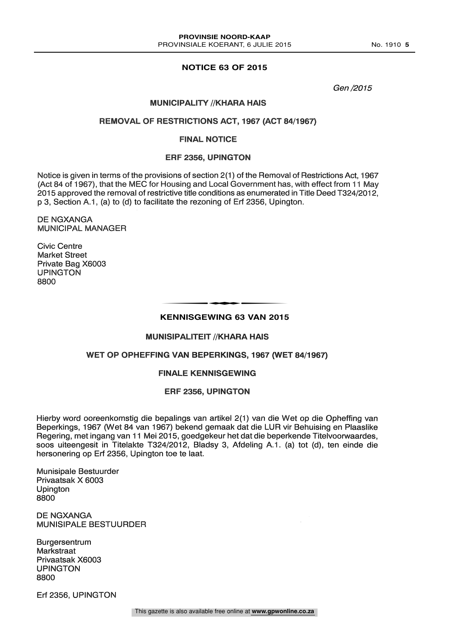#### **NOTICE 63 OF 2015**

Gen /2015

#### **MUNICIPALITY //KHARA HAIS**

#### REMOVAL OF RESTRICTIONS ACT, 1967 (ACT 84/1967)

#### FINAL NOTICE

#### ERF 2356, UPINGTON

Notice is given in terms of the provisions of section 2(1) of the Removal of Restrictions Act, 1967 (Act 84 of 1967), that the MEC for Housing and Local Government has, with effect from 11 May 2015 approved the removal of restrictive title conditions as enumerated in Title Deed T324/2012, p 3, Section A.1, (a) to (d) to facilitate the rezoning of Erf 2356, Upington.

DE NGXANGA MUNICIPAL MANAGER

Civic Centre Market Street Private Bag X6003 UPINGTON 8800

### **KENNISGEWING 63 VAN 2015** ENNISCEMBLE CO. VAN ONE

#### **MUNISIPALITEIT //KHARA HAIS**

#### WET OP OPHEFFING VAN BEPERKINGS, 1967 (WET 84/1967)

#### FINALE KENNISGEWING

#### ERF 2356, UPINGTON

Hierby word ooreenkomstig die bepalings van artikel 2(1) van die Wet op die Opheffing van Beperkings, 1967 (Wet 84 van 1967) bekend gemaak dat die LUR vir Behuising en Plaaslike Regering, met ingang van 11 Mei 2015, goedgekeur het dat die beperkende Titelvoorwaardes, soos uiteengesit in Titelakte T324/2012, Bladsy 3, Afdeling A.1. (a) tot (d), ten einde die hersonering op Erf 2356, Upington toe te laat.

Munisipale Bestuurder Privaatsak X 6003 Upington 8800

DE NGXANGA MUNISIPALE BESTUURDER

Burgersentrum Markstraat Privaatsak X6003 UPINGTON 8800

Erf 2356, UPINGTON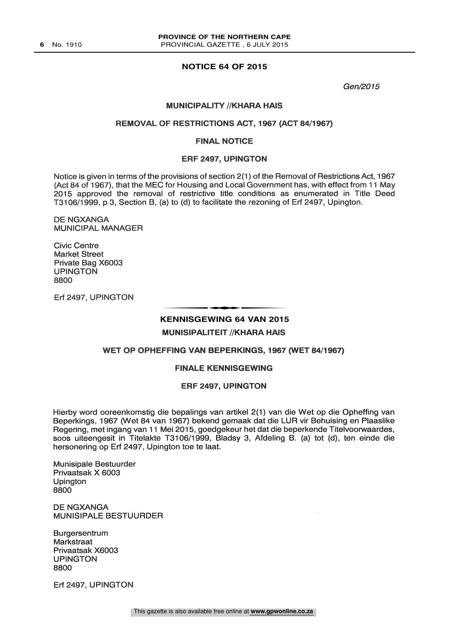#### **NOTICE 64 OF 2015**

Gen/2015

#### **MUNICIPALITY //KHARA HAIS**

#### REMOVAL OF RESTRICTIONS ACT, 1967 (ACT 84/1967)

#### FINAL NOTICE

#### ERF 2497, UPINGTON

Notice is given in terms of the provisions of section 2(1) of the Removal of Restrictions Act, 1967 (Act 84 of 1967), that the MEC for Housing and Local Government has, with effect from 11 May 2015 approved the removal of restrictive title conditions as enumerated in Title Deed T3106/1999, p 3, Section B, (a) to (d) to facilitate the rezoning of Erf 2497, Upington.

DE NGXANGA MUNICIPAL MANAGER

Civic Centre Market Street Private Bag X6003 UPINGTON 8800

Erf 2497, UPINGTON

# **KENNISGEWING 64 VAN 2015** t

**MUNISIPALITEIT //KHARA HAIS** 

#### WET OP OPHEFFING VAN BEPERKINGS, 1967 (WET 84/1967)

#### FINALE KENNISGEWING

#### ERF 2497, UPINGTON

Hierby word ooreenkomstig die bepalings van artikel 2(1) van die Wet op die Opheffing van Beperkings, 1967 (Wet 84 van 1967) bekend gemaak dat die LUR vir Behuising en Plaaslike Regering, met ingang van 11 Mei 2015, goedgekeur het dat die beperkende Titelvoorwaardes, soos uiteengesit in Titelakte T3106/1999, Bladsy 3, Afdeling B. (a) tot (d), ten einde die hersonering op Erf 2497, Upington toe te laat.

Munisipale Bestuurder Privaatsak X 6003 Upington 8800

DE NGXANGA MUNISIPALE BESTUURDER

Burgersentrum Markstraat Privaatsak X6003 UPINGTON 8800

Erf 2497, UPINGTON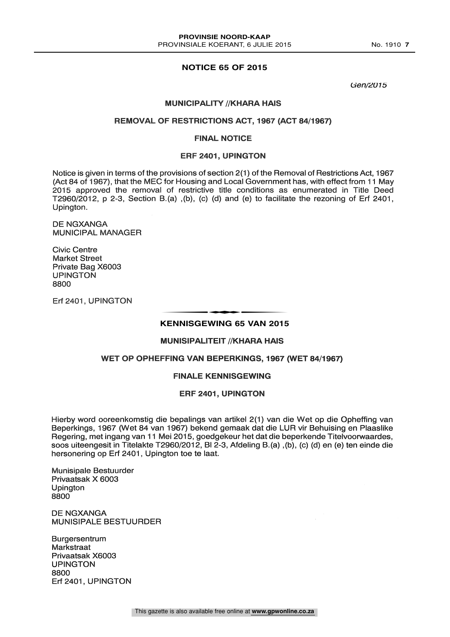#### **NOTICE 65 OF 2015**

Gen/2015

#### **MUNICIPALITY //KHARA HAIS**

#### REMOVAL OF RESTRICTIONS ACT, 1967 (ACT 84/1967)

#### FINAL NOTICE

#### ERF 2401, UPINGTON

Notice is given in terms of the provisions of section 2(1) of the Removal of Restrictions Act, 1967<br>(Act 84 of 1967), that the MEC for Housing and Local Government has, with effect from 11 May 2015 approved the removal of restrictive title conditions as enumerated in Title Deed T2960/2012, p 2-3, Section B.(a), (b), (c) (d) and (e) to facilitate the rezoning of Erf 2401, Upington.

DE NGXANGA MUNICIPAL MANAGER

Civic Centre Market Street Private Bag X6003 UPINGTON 8800

Erf 2401, UPINGTON

# **KENNISGEWING 65 VAN 2015** t

#### **MUNISIPALITEIT //KHARA HAIS**

#### WET OP OPHEFFING VAN BEPERKINGS, 1967 (WET 84/1967)

#### FINALE KENNISGEWING

#### ERF 2401, UPINGTON

Hierby word ooreenkomstig die bepalings van artikel 2(1) van die Wet op die Opheffing van Beperkings, 1967 (Wet 84 van 1967) bekend gemaak dat die LUR vir Behuising en Plaaslike Regering, met ingang van 11 Mei 2015, goedgekeur het dat die beperkende Titelvoorwaardes, soos uiteengesit in Titelakte T2960/2012, BI 2-3, Afdeling B.(a), (b), (c) (d) en (e) ten einde die hersonering op Erf 2401, Upington toe te laat.

Munisipale Bestuurder Privaatsak X 6003 Upington 8800

DE NGXANGA MUNISIPALE BESTUURDER

Burgersentrum **Markstraat** Privaatsak X6003 UPINGTON 8800 Erf 2401, UPINGTON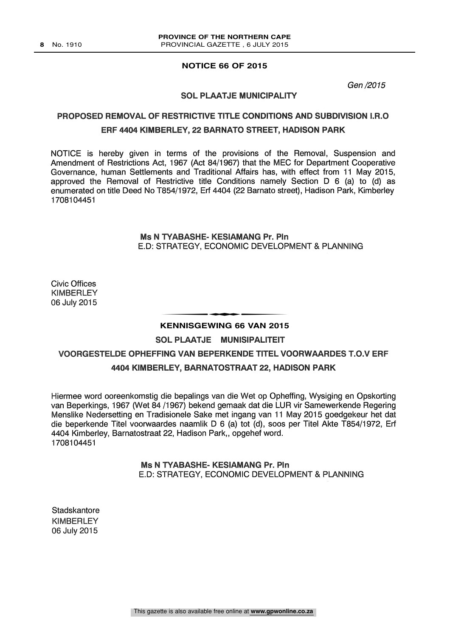#### **NOTICE 66 OF 2015**

Gen /2015

#### SOL PLAATJE MUNICIPALITY

#### PROPOSED REMOVAL OF RESTRICTIVE TITLE CONDITIONS AND SUBDIVISION I.R.O ERF 4404 KIMBERLEY, 22 BARNATO STREET, HADISON PARK

NOTICE is hereby given in terms of the provisions of the Removal, Suspension and Amendment of Restrictions Act, 1967 (Act 84/1967) that the MEC for Department Cooperative Governance, human Settlements and Traditional Affairs has, with effect from 11 May 2015, approved the Removal of Restrictive title Conditions namely Section D 6 (a) to (d) as enumerated on title Deed No T854/1972, Erf 4404 (22 Barnato street), Hadison Park, Kimberley 1708104451

> Ms N TYABASHE- KESIAMANG Pr. Pln E.D: STRATEGY, ECONOMIC DEVELOPMENT & PLANNING

Civic Offices **KIMBERLEY** 06 July 2015

# **KENNISGEWING 66 VAN 2015** t

SOL PLAATJE MUNISIPALITEIT

#### VOORGESTELDE OPHEFFING VAN BEPERKENDE TITEL VOORWAARDES T.O.V ERF

#### 4404 KIMBERLEY, BARNATOSTRAAT 22, HADISON PARK

Hiermee word ooreenkomstig die bepalings van die Wet op Opheffing, Wysiging en Opskorting van Beperkings, 1967 (Wet 84 /1967) bekend gemaak dat die LUR vir Samewerkende Regering Menslike Nedersetting en Tradisionele Sake met ingang van 11 May 2015 goedgekeur het dat die beperkende Titel voorwaardes naamlik D 6 (a) tot (d), soos per Titel Akte T854/1972, Erf 4404 Kimberley, Barnatostraat 22, Hadison Park,, opgehef word. 1708104451

#### Ms N TYABASHE- KESIAMANG Pr. Pln E.D: STRATEGY, ECONOMIC DEVELOPMENT & PLANNING

**Stadskantore KIMBERLEY** 06 July 2015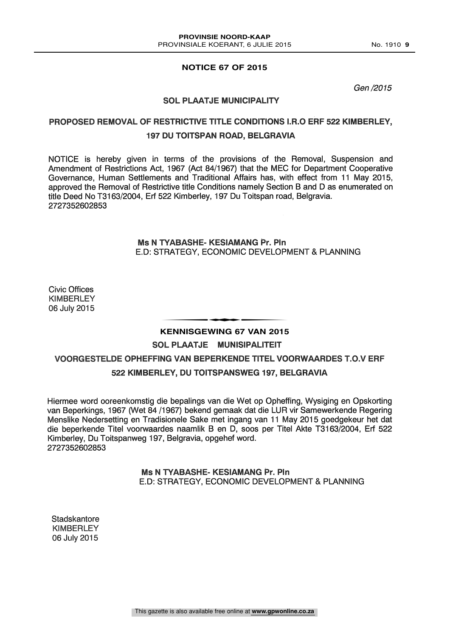#### **NOTICE 67 OF 2015**

Gen /2015

#### SOL PLAATJE MUNICIPALITY

#### PROPOSED REMOVAL OF RESTRICTIVE TITLE CONDITIONS I.R.O ERF 522 KIMBERLEY, 197 DU TOITSPAN ROAD, BELGRAVIA

NOTICE is hereby given in terms of the provisions of the Removal, Suspension and Amendment of Restrictions Act, 1967 (Act 84/1967) that the MEC for Department Cooperative Governance, Human Settlements and Traditional Affairs has, with effect from 11 May 2015, approved the Removal of Restrictive title Conditions namely Section B and D as enumerated on title Deed No T3163/2004, Erf 522 Kimberley, 197 Du Toitspan road, Belgravia. 2727352602853

#### Ms N TYABASHE- KESIAMANG Pr. Pln E.D: STRATEGY, ECONOMIC DEVELOPMENT & PLANNING

Civic Offices **KIMBERLEY** 06 July 2015

# **KENNISGEWING 67 VAN 2015** t

#### SOL PLAATJE MUNISIPALITEIT

#### VOORGESTELDE OPHEFFING VAN BEPERKENDE TITEL VOORWAARDES T.O.V ERF 522 KIMBERLEY, DU TOITSPANSWEG 197, BELGRAVIA

Hiermee word ooreenkomstig die bepalings van die Wet op Opheffing, Wysiging en Opskorting van Beperkings, 1967 (Wet 84 /1967) bekend gemaak dat die LUR vir Samewerkende Regering Menslike Nedersetting en Tradisionele Sake met ingang van 11 May 2015 goedgekeur het dat die beperkende Titel voorwaardes naamlik B en D, soos per Titel Akte T3163/2004, Erf 522 Kimberley, Du Toitspanweg 197, Belgravia, opgehef word. 2727352602853

#### Ms N TYABASHE- KESIAMANG Pr. Pln E.D: STRATEGY, ECONOMIC DEVELOPMENT & PLANNING

**Stadskantore** KIMBERLEY 06 July 2015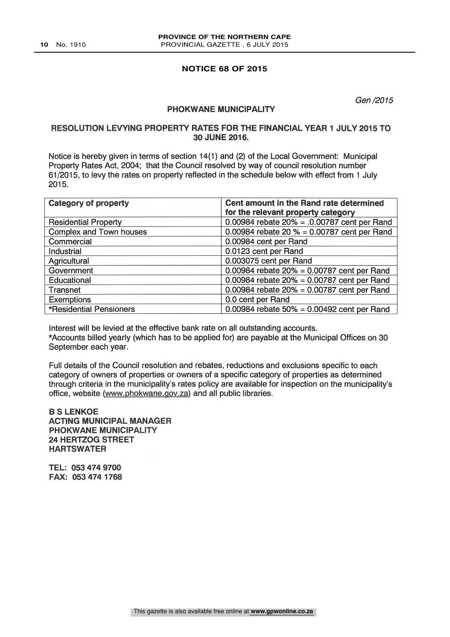#### **NOTICE 68 OF 2015**

Gen /2015

#### PHOKWANE MUNICIPALITY

#### RESOLUTION LEVYING PROPERTY RATES FOR THE FINANCIAL YEAR 1 JULY 2015 TO 30 JUNE 2016.

Notice is hereby given in terms of section 14(1) and (2) of the Local Government: Municipal Property Rates Act, 2004; that the Council resolved by way of council resolution number 61/2015, to levy the rates on property reflected in the schedule below with effect from 1 July 2015.

| <b>Category of property</b> | Cent amount in the Rand rate determined        |
|-----------------------------|------------------------------------------------|
|                             | for the relevant property category             |
| <b>Residential Property</b> | 0.00984 rebate $20\% = .0.00787$ cent per Rand |
| Complex and Town houses     | 0.00984 rebate 20 $% = 0.00787$ cent per Rand  |
| Commercial                  | 0.00984 cent per Rand                          |
| Industrial                  | 0.0123 cent per Rand                           |
| Agricultural                | 0.003075 cent per Rand                         |
| Government                  | 0.00984 rebate $20\% = 0.00787$ cent per Rand  |
| Educational                 | 0.00984 rebate $20\% = 0.00787$ cent per Rand  |
| Transnet                    | 0.00984 rebate $20\% = 0.00787$ cent per Rand  |
| <b>Exemptions</b>           | 0.0 cent per Rand                              |
| *Residential Pensioners     | 0.00984 rebate $50\% = 0.00492$ cent per Rand  |

Interest will be levied at the effective bank rate on all outstanding accounts. \*Accounts billed yearly (which has to be applied for) are payable at the Municipal Offices on 30 September each year.

Full details of the Council resolution and rebates, reductions and exclusions specific to each category of owners of properties or owners of a specific category of properties as determined through criteria in the municipality's rates policy are available for inspection on the municipality's office, website (www.phokwane.gov.za) and all public libraries.

#### B S LENKOE ACTING MUNICIPAL MANAGER PHOKWANE MUNICIPALITY 24 HERTZOG STREET HARTSWATER

TEL: 053 474 9700 FAX: 053 474 1768